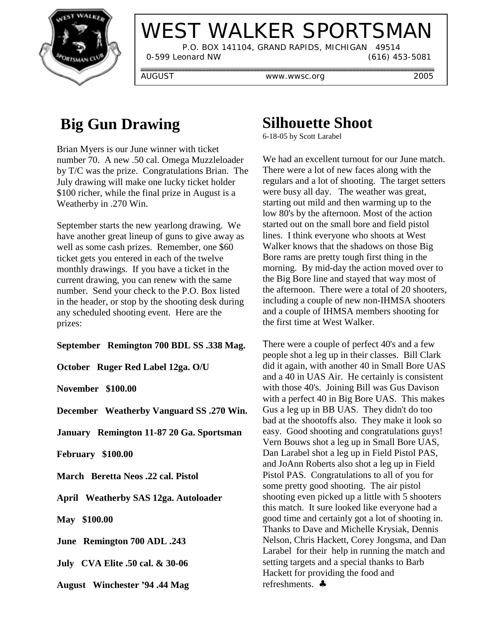

# WEST WALKER SPORTSMAN

 P.O. BOX 141104, GRAND RAPIDS, MICHIGAN 49514 0-599 Leonard NW (616) 453-5081

AUGUST www.wwsc.org 2005

### **Big Gun Drawing**

Brian Myers is our June winner with ticket number 70. A new .50 cal. Omega Muzzleloader by T/C was the prize. Congratulations Brian. The July drawing will make one lucky ticket holder \$100 richer, while the final prize in August is a Weatherby in .270 Win.

September starts the new yearlong drawing. We have another great lineup of guns to give away as well as some cash prizes. Remember, one \$60 ticket gets you entered in each of the twelve monthly drawings. If you have a ticket in the current drawing, you can renew with the same number. Send your check to the P.O. Box listed in the header, or stop by the shooting desk during any scheduled shooting event. Here are the prizes:

**September Remington 700 BDL SS .338 Mag.**

**October Ruger Red Label 12ga. O/U**

**November \$100.00**

**December Weatherby Vanguard SS .270 Win.**

**January Remington 11-87 20 Ga. Sportsman**

**February \$100.00**

**March Beretta Neos .22 cal. Pistol**

**April Weatherby SAS 12ga. Autoloader**

**May \$100.00**

**June Remington 700 ADL .243**

**July CVA Elite .50 cal. & 30-06**

**August Winchester '94 .44 Mag**

#### **Silhouette Shoot**

6-18-05 by Scott Larabel

We had an excellent turnout for our June match. There were a lot of new faces along with the regulars and a lot of shooting. The target setters were busy all day. The weather was great, starting out mild and then warming up to the low 80's by the afternoon. Most of the action started out on the small bore and field pistol lines. I think everyone who shoots at West Walker knows that the shadows on those Big Bore rams are pretty tough first thing in the morning. By mid-day the action moved over to the Big Bore line and stayed that way most of the afternoon. There were a total of 20 shooters, including a couple of new non-IHMSA shooters and a couple of IHMSA members shooting for the first time at West Walker.

There were a couple of perfect 40's and a few people shot a leg up in their classes. Bill Clark did it again, with another 40 in Small Bore UAS and a 40 in UAS Air. He certainly is consistent with those 40's. Joining Bill was Gus Davison with a perfect 40 in Big Bore UAS. This makes Gus a leg up in BB UAS. They didn't do too bad at the shootoffs also. They make it look so easy. Good shooting and congratulations guys! Vern Bouws shot a leg up in Small Bore UAS, Dan Larabel shot a leg up in Field Pistol PAS, and JoAnn Roberts also shot a leg up in Field Pistol PAS. Congratulations to all of you for some pretty good shooting. The air pistol shooting even picked up a little with 5 shooters this match. It sure looked like everyone had a good time and certainly got a lot of shooting in. Thanks to Dave and Michelle Krysiak, Dennis Nelson, Chris Hackett, Corey Jongsma, and Dan Larabel for their help in running the match and setting targets and a special thanks to Barb Hackett for providing the food and refreshments. ♣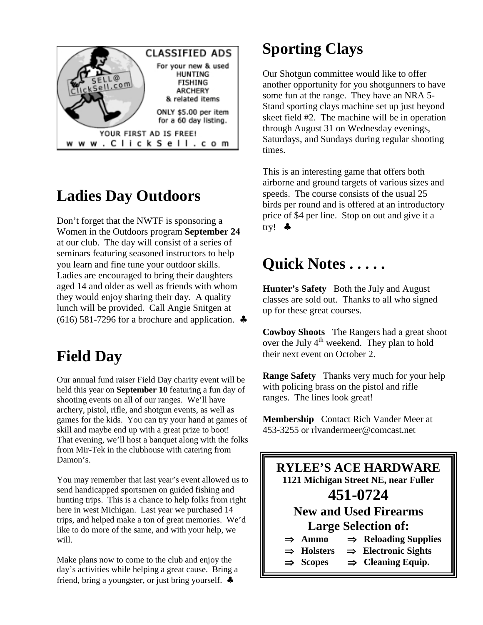

### **Ladies Day Outdoors**

Don't forget that the NWTF is sponsoring a Women in the Outdoors program **September 24** at our club. The day will consist of a series of seminars featuring seasoned instructors to help you learn and fine tune your outdoor skills. Ladies are encouraged to bring their daughters aged 14 and older as well as friends with whom they would enjoy sharing their day. A quality lunch will be provided. Call Angie Snitgen at  $(616)$  581-7296 for a brochure and application.  $\triangleleft$ 

## **Field Day**

Our annual fund raiser Field Day charity event will be held this year on **September 10** featuring a fun day of shooting events on all of our ranges. We'll have archery, pistol, rifle, and shotgun events, as well as games for the kids. You can try your hand at games of skill and maybe end up with a great prize to boot! That evening, we'll host a banquet along with the folks from Mir-Tek in the clubhouse with catering from Damon's.

You may remember that last year's event allowed us to send handicapped sportsmen on guided fishing and hunting trips. This is a chance to help folks from right here in west Michigan. Last year we purchased 14 trips, and helped make a ton of great memories. We'd like to do more of the same, and with your help, we will.

Make plans now to come to the club and enjoy the day's activities while helping a great cause. Bring a friend, bring a youngster, or just bring yourself.  $\clubsuit$ 

# **Sporting Clays**

Our Shotgun committee would like to offer another opportunity for you shotgunners to have some fun at the range. They have an NRA 5- Stand sporting clays machine set up just beyond skeet field #2. The machine will be in operation through August 31 on Wednesday evenings, Saturdays, and Sundays during regular shooting times.

This is an interesting game that offers both airborne and ground targets of various sizes and speeds. The course consists of the usual 25 birds per round and is offered at an introductory price of \$4 per line. Stop on out and give it a try! ♣

## **Quick Notes . . . . .**

**Hunter's Safety** Both the July and August classes are sold out. Thanks to all who signed up for these great courses.

**Cowboy Shoots** The Rangers had a great shoot over the July  $4<sup>th</sup>$  weekend. They plan to hold their next event on October 2.

**Range Safety** Thanks very much for your help with policing brass on the pistol and rifle ranges. The lines look great!

**Membership** Contact Rich Vander Meer at 453-3255 or rlvandermeer@comcast.net

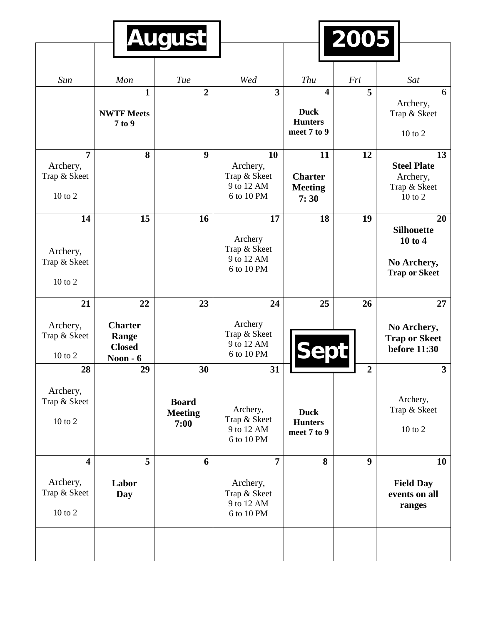|                                                       |                                                       | <b>August</b>                          |                                                            |                                                                         | 2005           |                                                                           |
|-------------------------------------------------------|-------------------------------------------------------|----------------------------------------|------------------------------------------------------------|-------------------------------------------------------------------------|----------------|---------------------------------------------------------------------------|
|                                                       |                                                       |                                        |                                                            |                                                                         |                |                                                                           |
| Sun                                                   | Mon                                                   | Tue                                    | Wed                                                        | Thu                                                                     | Fri            | Sat                                                                       |
|                                                       | $\mathbf{1}$<br><b>NWTF Meets</b><br>7 to 9           | $\overline{2}$                         | 3                                                          | $\overline{\mathbf{4}}$<br><b>Duck</b><br><b>Hunters</b><br>meet 7 to 9 | 5              | 6<br>Archery,<br>Trap & Skeet<br>$10$ to $2$                              |
| $\overline{7}$<br>Archery,<br>Trap & Skeet<br>10 to 2 | 8                                                     | 9                                      | 10<br>Archery,<br>Trap & Skeet<br>9 to 12 AM<br>6 to 10 PM | 11<br><b>Charter</b><br><b>Meeting</b><br>7:30                          | 12             | 13<br><b>Steel Plate</b><br>Archery,<br>Trap & Skeet<br>10 to 2           |
| 14<br>Archery,<br>Trap & Skeet<br>10 to 2             | 15                                                    | 16                                     | 17<br>Archery<br>Trap & Skeet<br>9 to 12 AM<br>6 to 10 PM  | 18                                                                      | 19             | 20<br><b>Silhouette</b><br>10 to 4<br>No Archery,<br><b>Trap or Skeet</b> |
| 21                                                    | 22                                                    | 23                                     | 24                                                         | 25                                                                      | 26             | 27                                                                        |
| Archery,<br>Trap & Skeet<br>10 to 2                   | <b>Charter</b><br>Range<br><b>Closed</b><br>Noon $-6$ |                                        | Archery<br>Trap & Skeet<br>9 to 12 AM<br>6 to 10 PM        |                                                                         |                | No Archery,<br><b>Trap or Skeet</b><br><b>before 11:30</b>                |
| 28                                                    | 29                                                    | 30                                     | 31                                                         |                                                                         | $\overline{2}$ | $\mathbf{3}$                                                              |
| Archery,<br>Trap & Skeet<br>10 to 2                   |                                                       | <b>Board</b><br><b>Meeting</b><br>7:00 | Archery,<br>Trap & Skeet<br>9 to 12 AM<br>6 to 10 PM       | <b>Duck</b><br><b>Hunters</b><br>meet 7 to 9                            |                | Archery,<br>Trap & Skeet<br>10 to 2                                       |
| $\overline{\mathbf{4}}$                               | 5                                                     | 6                                      | $\overline{7}$                                             | 8                                                                       | 9              | <b>10</b>                                                                 |
| Archery,<br>Trap & Skeet<br>10 to 2                   | Labor<br>Day                                          |                                        | Archery,<br>Trap & Skeet<br>9 to 12 AM<br>6 to 10 PM       |                                                                         |                | <b>Field Day</b><br>events on all<br>ranges                               |
|                                                       |                                                       |                                        |                                                            |                                                                         |                |                                                                           |